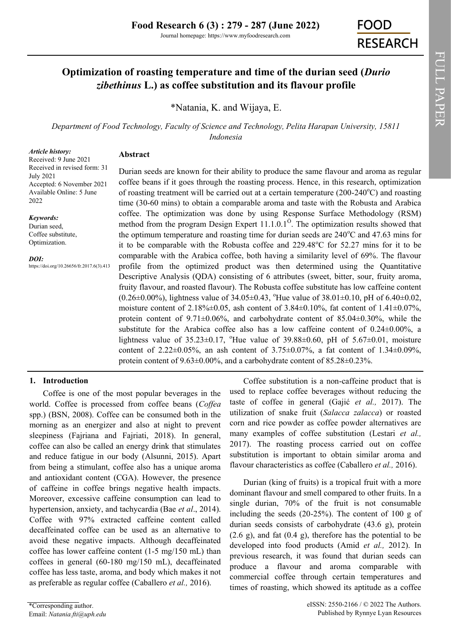# **Optimization of roasting temperature and time of the durian seed (***Durio zibethinus* **L.) as coffee substitution and its flavour profile**

\*[Natania, K.](https://orcid.org/0000-0001-7840-5786) and Wijaya, E.

*Department of Food Technology, Faculty of Science and Technology, Pelita Harapan University, 15811 Indonesia*

#### *Article history:*

Received: 9 June 2021 Received in revised form: 31 July 2021 Accepted: 6 November 2021 Available Online: 5 June 2022

*Keywords:*

Durian seed, Coffee substitute, Optimization.

*DOI:*

https://doi.org/10.26656/fr.2017.6(3).413

# **Abstract**

Durian seeds are known for their ability to produce the same flavour and aroma as regular coffee beans if it goes through the roasting process. Hence, in this research, optimization of roasting treatment will be carried out at a certain temperature  $(200-240^{\circ}C)$  and roasting time (30-60 mins) to obtain a comparable aroma and taste with the Robusta and Arabica coffee. The optimization was done by using Response Surface Methodology (RSM) method from the program Design Expert  $11.1.0.1^\circ$ . The optimization results showed that the optimum temperature and roasting time for durian seeds are  $240^{\circ}$ C and  $47.63$  mins for it to be comparable with the Robusta coffee and  $229.48^{\circ}$ C for  $52.27$  mins for it to be comparable with the Arabica coffee, both having a similarity level of 69%. The flavour profile from the optimized product was then determined using the Quantitative Descriptive Analysis (QDA) consisting of 6 attributes (sweet, bitter, sour, fruity aroma, fruity flavour, and roasted flavour). The Robusta coffee substitute has low caffeine content  $(0.26\pm0.00\%)$ , lightness value of 34.05 $\pm$ 0.43, <sup>o</sup>Hue value of 38.01 $\pm$ 0.10, pH of 6.40 $\pm$ 0.02, moisture content of 2.18% $\pm$ 0.05, ash content of 3.84 $\pm$ 0.10%, fat content of 1.41 $\pm$ 0.07%, protein content of 9.71±0.06%, and carbohydrate content of 85.04±0.30%, while the substitute for the Arabica coffee also has a low caffeine content of  $0.24 \pm 0.00\%$ , a lightness value of  $35.23\pm0.17$ , <sup>o</sup>Hue value of  $39.88\pm0.60$ , pH of  $5.67\pm0.01$ , moisture content of 2.22 $\pm$ 0.05%, an ash content of 3.75 $\pm$ 0.07%, a fat content of 1.34 $\pm$ 0.09%, protein content of 9.63±0.00%, and a carbohydrate content of 85.28±0.23%.

# **1. Introduction**

Coffee is one of the most popular beverages in the world. Coffee is processed from coffee beans (*Coffea* spp.) (BSN, 2008). Coffee can be consumed both in the morning as an energizer and also at night to prevent sleepiness (Fajriana and Fajriati, 2018). In general, coffee can also be called an energy drink that stimulates and reduce fatigue in our body (Alsunni, 2015). Apart from being a stimulant, coffee also has a unique aroma and antioxidant content (CGA). However, the presence of caffeine in coffee brings negative health impacts. Moreover, excessive caffeine consumption can lead to hypertension, anxiety, and tachycardia (Bae *et al*., 2014). Coffee with 97% extracted caffeine content called decaffeinated coffee can be used as an alternative to avoid these negative impacts. Although decaffeinated coffee has lower caffeine content (1-5 mg/150 mL) than coffees in general (60-180 mg/150 mL), decaffeinated coffee has less taste, aroma, and body which makes it not as preferable as regular coffee (Caballero *et al.,* 2016).

Coffee substitution is a non-caffeine product that is used to replace coffee beverages without reducing the taste of coffee in general (Gajić *et al.,* 2017). The utilization of snake fruit (*Salacca zalacca*) or roasted corn and rice powder as coffee powder alternatives are many examples of coffee substitution (Lestari *et al.,*  2017). The roasting process carried out on coffee substitution is important to obtain similar aroma and flavour characteristics as coffee (Caballero *et al.,* 2016).

Durian (king of fruits) is a tropical fruit with a more dominant flavour and smell compared to other fruits. In a single durian, 70% of the fruit is not consumable including the seeds (20-25%). The content of 100 g of durian seeds consists of carbohydrate (43.6 g), protein  $(2.6 \text{ g})$ , and fat  $(0.4 \text{ g})$ , therefore has the potential to be developed into food products (Amid *et al.,* 2012). In previous research, it was found that durian seeds can produce a flavour and aroma comparable with commercial coffee through certain temperatures and times of roasting, which showed its aptitude as a coffee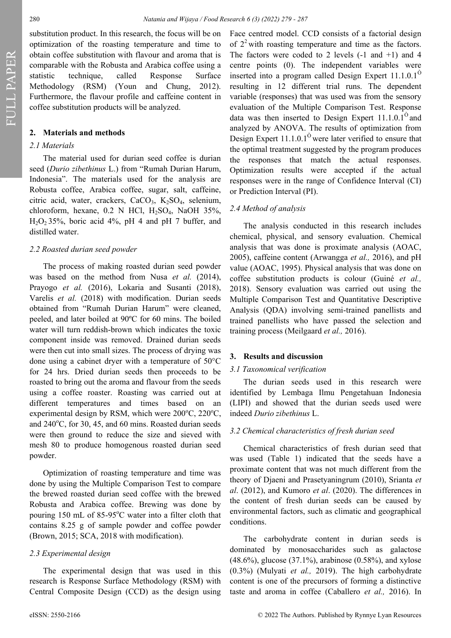substitution product. In this research, the focus will be on optimization of the roasting temperature and time to obtain coffee substitution with flavour and aroma that is comparable with the Robusta and Arabica coffee using a statistic technique, called Response Surface Methodology (RSM) (Youn and Chung, 2012). Furthermore, the flavour profile and caffeine content in coffee substitution products will be analyzed.

### **2. Materials and methods**

## *2.1 Materials*

The material used for durian seed coffee is durian seed (*Durio zibethinus* L.) from "Rumah Durian Harum, Indonesia". The materials used for the analysis are Robusta coffee, Arabica coffee, sugar, salt, caffeine, citric acid, water, crackers,  $CaCO<sub>3</sub>$ ,  $K<sub>2</sub>SO<sub>4</sub>$ , selenium, chloroform, hexane,  $0.2$  N HCl,  $H<sub>2</sub>SO<sub>4</sub>$ , NaOH 35%,  $H<sub>2</sub>O<sub>2</sub> 35%$ , boric acid 4%, pH 4 and pH 7 buffer, and distilled water.

#### *2.2 Roasted durian seed powder*

The process of making roasted durian seed powder was based on the method from Nusa *et al.* (2014), Prayogo *et al.* (2016), Lokaria and Susanti (2018), Varelis *et al.* (2018) with modification. Durian seeds obtained from "Rumah Durian Harum" were cleaned, peeled, and later boiled at 90ºC for 60 mins. The boiled water will turn reddish-brown which indicates the toxic component inside was removed. Drained durian seeds were then cut into small sizes. The process of drying was done using a cabinet dryer with a temperature of 50°C for 24 hrs. Dried durian seeds then proceeds to be roasted to bring out the aroma and flavour from the seeds using a coffee roaster. Roasting was carried out at different temperatures and times based on an experimental design by RSM, which were  $200^{\circ}$ C,  $220^{\circ}$ C, and  $240^{\circ}$ C, for 30, 45, and 60 mins. Roasted durian seeds were then ground to reduce the size and sieved with mesh 80 to produce homogenous roasted durian seed powder.

Optimization of roasting temperature and time was done by using the Multiple Comparison Test to compare the brewed roasted durian seed coffee with the brewed Robusta and Arabica coffee. Brewing was done by pouring 150 mL of  $85-95^{\circ}$ C water into a filter cloth that contains 8.25 g of sample powder and coffee powder (Brown, 2015; SCA, 2018 with modification).

### *2.3 Experimental design*

The experimental design that was used in this research is Response Surface Methodology (RSM) with Central Composite Design (CCD) as the design using

Face centred model. CCD consists of a factorial design of  $2<sup>2</sup>$  with roasting temperature and time as the factors. The factors were coded to 2 levels  $(-1 \text{ and } +1)$  and 4 centre points (0). The independent variables were inserted into a program called Design Expert  $11.1.0.1<sup>°</sup>$ resulting in 12 different trial runs. The dependent variable (responses) that was used was from the sensory evaluation of the Multiple Comparison Test. Response data was then inserted to Design Expert  $11.1.0.1<sup>o</sup>$  and analyzed by ANOVA. The results of optimization from Design Expert  $11.1.0.1<sup>°</sup>$  were later verified to ensure that the optimal treatment suggested by the program produces the responses that match the actual responses. Optimization results were accepted if the actual responses were in the range of Confidence Interval (CI) or Prediction Interval (PI).

#### *2.4 Method of analysis*

The analysis conducted in this research includes chemical, physical, and sensory evaluation. Chemical analysis that was done is proximate analysis (AOAC, 2005), caffeine content (Arwangga *et al.,* 2016), and pH value (AOAC, 1995). Physical analysis that was done on coffee substitution products is colour (Guiné *et al.,*  2018). Sensory evaluation was carried out using the Multiple Comparison Test and Quantitative Descriptive Analysis (QDA) involving semi-trained panellists and trained panellists who have passed the selection and training process (Meilgaard *et al.,* 2016).

#### **3. Results and discussion**

#### *3.1 Taxonomical verification*

The durian seeds used in this research were identified by Lembaga Ilmu Pengetahuan Indonesia (LIPI) and showed that the durian seeds used were indeed *Durio zibethinus* L.

### *3.2 Chemical characteristics of fresh durian seed*

Chemical characteristics of fresh durian seed that was used (Table 1) indicated that the seeds have a proximate content that was not much different from the theory of Djaeni and Prasetyaningrum (2010), Srianta *et al*. (2012), and Kumoro *et al*. (2020). The differences in the content of fresh durian seeds can be caused by environmental factors, such as climatic and geographical conditions.

The carbohydrate content in durian seeds is dominated by monosaccharides such as galactose  $(48.6\%)$ , glucose  $(37.1\%)$ , arabinose  $(0.58\%)$ , and xylose (0.3%) (Mulyati *et al.,* 2019). The high carbohydrate content is one of the precursors of forming a distinctive taste and aroma in coffee (Caballero *et al.,* 2016). In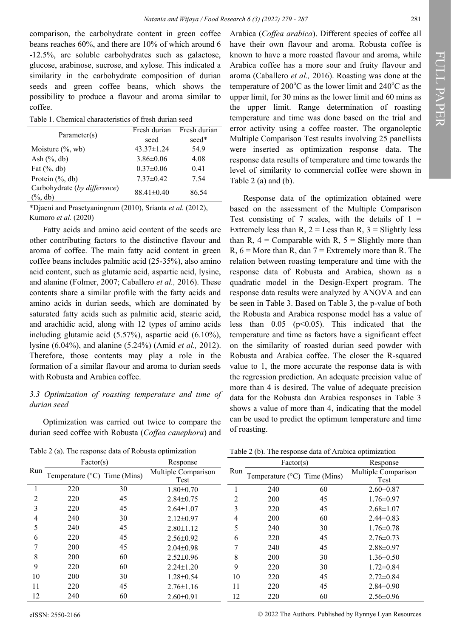comparison, the carbohydrate content in green coffee beans reaches 60%, and there are 10% of which around 6 -12.5%, are soluble carbohydrates such as galactose, glucose, arabinose, sucrose, and xylose. This indicated a similarity in the carbohydrate composition of durian seeds and green coffee beans, which shows the possibility to produce a flavour and aroma similar to coffee.

Table 1. Chemical characteristics of fresh durian seed

| Parameter(s)                               | Fresh durian<br>seed | Fresh durian<br>seed* |
|--------------------------------------------|----------------------|-----------------------|
| Moisture $(\%$ , wb)                       | $43.37 \pm 1.24$     | 54.9                  |
| Ash $(\%$ , db)                            | $3.86 \pm 0.06$      | 4.08                  |
| Fat $(\%$ , db)                            | $0.37 \pm 0.06$      | 0.41                  |
| Protein (%, db)                            | $7.37\pm0.42$        | 7.54                  |
| Carbohydrate (by difference)<br>$\%$ , db) | $88.41 \pm 0.40$     | 86.54                 |

\*Djaeni and Prasetyaningrum (2010), Srianta *et al.* (2012), Kumoro *et al.* (2020)

Fatty acids and amino acid content of the seeds are other contributing factors to the distinctive flavour and aroma of coffee. The main fatty acid content in green coffee beans includes palmitic acid (25-35%), also amino acid content, such as glutamic acid, aspartic acid, lysine, and alanine (Folmer, 2007; Caballero *et al.,* 2016). These contents share a similar profile with the fatty acids and amino acids in durian seeds, which are dominated by saturated fatty acids such as palmitic acid, stearic acid, and arachidic acid, along with 12 types of amino acids including glutamic acid (5.57%), aspartic acid (6.10%), lysine (6.04%), and alanine (5.24%) (Amid *et al.,* 2012). Therefore, those contents may play a role in the formation of a similar flavour and aroma to durian seeds with Robusta and Arabica coffee.

### *3.3 Optimization of roasting temperature and time of durian seed*

Optimization was carried out twice to compare the durian seed coffee with Robusta (*Coffea canephora*) and

Table 2 (a). The response data of Robusta optimization

Arabica (*Coffea arabica*). Different species of coffee all have their own flavour and aroma. Robusta coffee is known to have a more roasted flavour and aroma, while Arabica coffee has a more sour and fruity flavour and aroma (Caballero *et al.,* 2016). Roasting was done at the temperature of  $200^{\circ}$ C as the lower limit and  $240^{\circ}$ C as the upper limit, for 30 mins as the lower limit and 60 mins as the upper limit. Range determination of roasting temperature and time was done based on the trial and error activity using a coffee roaster. The organoleptic Multiple Comparison Test results involving 25 panellists were inserted as optimization response data. The response data results of temperature and time towards the level of similarity to commercial coffee were shown in Table 2 (a) and (b).

Response data of the optimization obtained were based on the assessment of the Multiple Comparison Test consisting of 7 scales, with the details of  $1 =$ Extremely less than  $R$ ,  $2 =$  Less than  $R$ ,  $3 =$  Slightly less than R,  $4 =$  Comparable with R,  $5 =$  Slightly more than  $R$ ,  $6 =$  More than  $R$ , dan  $7 =$  Extremely more than  $R$ . The relation between roasting temperature and time with the response data of Robusta and Arabica, shown as a quadratic model in the Design-Expert program. The response data results were analyzed by ANOVA and can be seen in Table 3. Based on Table 3, the p-value of both the Robusta and Arabica response model has a value of less than  $0.05$  ( $p<0.05$ ). This indicated that the temperature and time as factors have a significant effect on the similarity of roasted durian seed powder with Robusta and Arabica coffee. The closer the R-squared value to 1, the more accurate the response data is with the regression prediction. An adequate precision value of more than 4 is desired. The value of adequate precision data for the Robusta dan Arabica responses in Table 3 shows a value of more than 4, indicating that the model can be used to predict the optimum temperature and time of roasting.

Table 2 (b). The response data of Arabica optimization

|     | Factor(s)                             |    | Response                    |                | Factor(s)                                    |    | Response                    |
|-----|---------------------------------------|----|-----------------------------|----------------|----------------------------------------------|----|-----------------------------|
| Run | Temperature $(^{\circ}C)$ Time (Mins) |    | Multiple Comparison<br>Test | Run            | Temperature ( $\rm{^{\circ}C}$ ) Time (Mins) |    | Multiple Comparison<br>Test |
|     | 220                                   | 30 | $1.80 \pm 0.70$             |                | 240                                          | 60 | $2.60 \pm 0.87$             |
|     | 220                                   | 45 | $2.84 \pm 0.75$             | $\overline{c}$ | 200                                          | 45 | $1.76 \pm 0.97$             |
|     | 220                                   | 45 | $2.64 \pm 1.07$             | $\rightarrow$  | 220                                          | 45 | $2.68 \pm 1.07$             |
| 4   | 240                                   | 30 | $2.12 \pm 0.97$             | 4              | 200                                          | 60 | $2.44\pm0.83$               |
|     | 240                                   | 45 | $2.80 \pm 1.12$             |                | 240                                          | 30 | $1.76 \pm 0.78$             |
| 6   | 220                                   | 45 | $2.56 \pm 0.92$             | 6              | 220                                          | 45 | $2.76 \pm 0.73$             |
|     | 200                                   | 45 | $2.04 \pm 0.98$             | 7              | 240                                          | 45 | $2.88 \pm 0.97$             |
| 8   | 200                                   | 60 | $2.52 \pm 0.96$             | 8              | 200                                          | 30 | $1.36 \pm 0.50$             |
| 9   | 220                                   | 60 | $2.24 \pm 1.20$             | 9              | 220                                          | 30 | $1.72 \pm 0.84$             |
| 10  | 200                                   | 30 | $1.28 \pm 0.54$             | 10             | 220                                          | 45 | $2.72 \pm 0.84$             |
| 11  | 220                                   | 45 | $2.76 \pm 1.16$             | 11             | 220                                          | 45 | $2.84 \pm 0.90$             |
| 12  | 240                                   | 60 | $2.60 \pm 0.91$             | 12             | 220                                          | 60 | $2.56 \pm 0.96$             |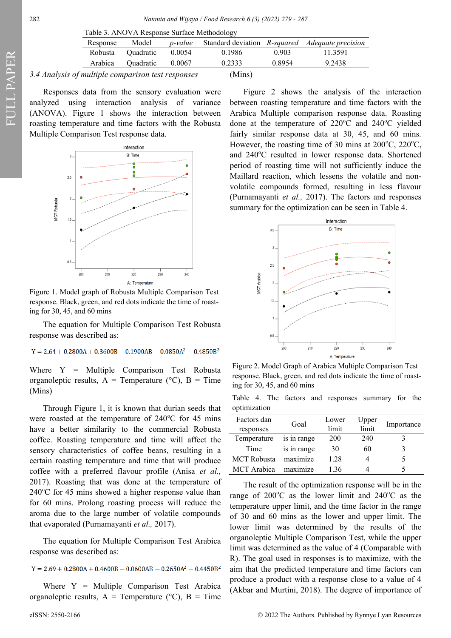| Table 5. AINO VA Respolise Surface Mediodology |                                       |        |        |        |                                                                |  |  |
|------------------------------------------------|---------------------------------------|--------|--------|--------|----------------------------------------------------------------|--|--|
| Response                                       | Model                                 |        |        |        | <i>p-value</i> Standard deviation R-squared Adequate precision |  |  |
| Robusta                                        | Ouadratic                             | 0.0054 | 0.1986 | 0.903  | 11.3591                                                        |  |  |
|                                                | Arabica Quadratic                     | 0.0067 | 0.2333 | 0.8954 | 9.2438                                                         |  |  |
|                                                | of multiple comparison test responses |        | (Mins) |        |                                                                |  |  |

3.4 Analysis of multiple comparison test resp

Responses data from the sensory evaluation were analyzed using interaction analysis of variance (ANOVA). Figure 1 shows the interaction between roasting temperature and time factors with the Robusta Multiple Comparison Test response data.



Figure 1. Model graph of Robusta Multiple Comparison Test response. Black, green, and red dots indicate the time of roasting for 30, 45, and 60 mins

The equation for Multiple Comparison Test Robusta response was described as:

$$
Y=2.64+0.2800A+0.3600B-0.1900AB-0.0850A^2-0.4850B^2\\
$$

Where Y = Multiple Comparison Test Robusta organoleptic results,  $A =$  Temperature ( ${}^{\circ}C$ ),  $B =$  Time (Mins)

Through Figure 1, it is known that durian seeds that were roasted at the temperature of  $240^{\circ}$ C for 45 mins have a better similarity to the commercial Robusta coffee. Roasting temperature and time will affect the sensory characteristics of coffee beans, resulting in a certain roasting temperature and time that will produce coffee with a preferred flavour profile (Anisa *et al.,*  2017). Roasting that was done at the temperature of  $240^{\circ}$ C for 45 mins showed a higher response value than for 60 mins. Prolong roasting process will reduce the aroma due to the large number of volatile compounds that evaporated (Purnamayanti *et al.,* 2017).

The equation for Multiple Comparison Test Arabica response was described as:

 $Y = 2.69 + 0.2800A + 0.4600B - 0.0600AB - 0.2650A^{2} - 0.4450B^{2}$ 

Where  $Y = Multiple Comparison$  Test Arabica organoleptic results,  $A =$  Temperature ( ${}^{\circ}C$ ),  $B =$  Time

FULL PAPER

(Mins)

Figure 2 shows the analysis of the interaction between roasting temperature and time factors with the Arabica Multiple comparison response data. Roasting done at the temperature of  $220^{\circ}$ C and  $240^{\circ}$ C yielded fairly similar response data at 30, 45, and 60 mins. However, the roasting time of 30 mins at  $200^{\circ}$ C,  $220^{\circ}$ C, and 240°C resulted in lower response data. Shortened period of roasting time will not sufficiently induce the Maillard reaction, which lessens the volatile and nonvolatile compounds formed, resulting in less flavour (Purnamayanti *et al.,* 2017). The factors and responses summary for the optimization can be seen in Table 4.



Figure 2. Model Graph of Arabica Multiple Comparison Test response. Black, green, and red dots indicate the time of roasting for 30, 45, and 60 mins

Table 4. The factors and responses summary for the optimization

| Factors dan        | Goal        | Lower | Upper | Importance |
|--------------------|-------------|-------|-------|------------|
| responses          |             | limit | limit |            |
| Temperature        | is in range | 200   | 240   |            |
| Time               | is in range | 30    | 60    |            |
| <b>MCT</b> Robusta | maximize    | 1.28  |       |            |
| MCT Arabica        | maximize    | 1.36  |       |            |

The result of the optimization response will be in the range of  $200^{\circ}$ C as the lower limit and  $240^{\circ}$ C as the temperature upper limit, and the time factor in the range of 30 and 60 mins as the lower and upper limit. The lower limit was determined by the results of the organoleptic Multiple Comparison Test, while the upper limit was determined as the value of 4 (Comparable with R). The goal used in responses is to maximize, with the aim that the predicted temperature and time factors can produce a product with a response close to a value of 4 (Akbar and Murtini, 2018). The degree of importance of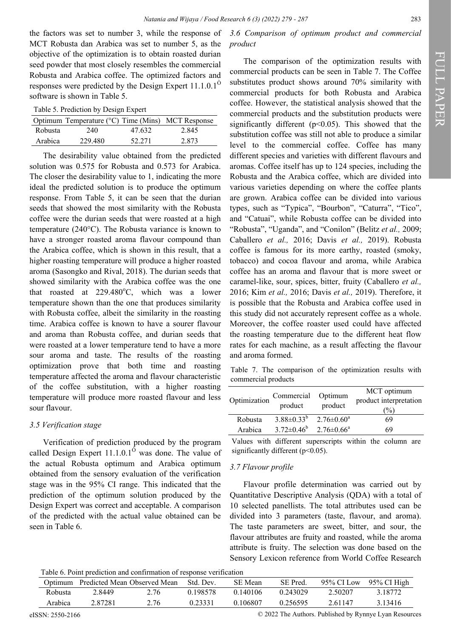the factors was set to number 3, while the response of MCT Robusta dan Arabica was set to number 5, as the objective of the optimization is to obtain roasted durian seed powder that most closely resembles the commercial Robusta and Arabica coffee. The optimized factors and responses were predicted by the Design Expert  $11.1.0.1<sup>°</sup>$ software is shown in Table 5.

Table 5. Prediction by Design Expert

|                | Optimum Temperature (°C) Time (Mins) MCT Response |        |       |
|----------------|---------------------------------------------------|--------|-------|
| <b>Robusta</b> | 240                                               | 47.632 | 2.845 |
| Arabica        | 229.480                                           | 52.271 | 2.873 |

The desirability value obtained from the predicted solution was 0.575 for Robusta and 0.573 for Arabica. The closer the desirability value to 1, indicating the more ideal the predicted solution is to produce the optimum response. From Table 5, it can be seen that the durian seeds that showed the most similarity with the Robusta coffee were the durian seeds that were roasted at a high temperature (240°C). The Robusta variance is known to have a stronger roasted aroma flavour compound than the Arabica coffee, which is shown in this result, that a higher roasting temperature will produce a higher roasted aroma (Sasongko and Rival, 2018). The durian seeds that showed similarity with the Arabica coffee was the one that roasted at  $229.480^{\circ}$ C, which was a lower temperature shown than the one that produces similarity with Robusta coffee, albeit the similarity in the roasting time. Arabica coffee is known to have a sourer flavour and aroma than Robusta coffee, and durian seeds that were roasted at a lower temperature tend to have a more sour aroma and taste. The results of the roasting optimization prove that both time and roasting temperature affected the aroma and flavour characteristic of the coffee substitution, with a higher roasting temperature will produce more roasted flavour and less sour flavour.

### *3.5 Verification stage*

Verification of prediction produced by the program called Design Expert  $11.1.0.1<sup>o</sup>$  was done. The value of the actual Robusta optimum and Arabica optimum obtained from the sensory evaluation of the verification stage was in the 95% CI range. This indicated that the prediction of the optimum solution produced by the Design Expert was correct and acceptable. A comparison of the predicted with the actual value obtained can be seen in Table 6.

### *3.6 Comparison of optimum product and commercial product*

The comparison of the optimization results with commercial products can be seen in Table 7. The Coffee substitutes product shows around 70% similarity with commercial products for both Robusta and Arabica coffee. However, the statistical analysis showed that the commercial products and the substitution products were significantly different ( $p$ <0.05). This showed that the substitution coffee was still not able to produce a similar level to the commercial coffee. Coffee has many different species and varieties with different flavours and aromas. Coffee itself has up to 124 species, including the Robusta and the Arabica coffee, which are divided into various varieties depending on where the coffee plants are grown. Arabica coffee can be divided into various types, such as "Typica", "Bourbon", "Caturra", "Tico", and "Catuai", while Robusta coffee can be divided into "Robusta", "Uganda", and "Conilon" (Belitz *et al.,* 2009; Caballero *et al.,* 2016; Davis *et al.,* 2019). Robusta coffee is famous for its more earthy, roasted (smoky, tobacco) and cocoa flavour and aroma, while Arabica coffee has an aroma and flavour that is more sweet or caramel-like, sour, spices, bitter, fruity (Caballero *et al.,* 2016; Kim *et al.,* 2016; Davis *et al.,* 2019). Therefore, it is possible that the Robusta and Arabica coffee used in this study did not accurately represent coffee as a whole. Moreover, the coffee roaster used could have affected the roasting temperature due to the different heat flow rates for each machine, as a result affecting the flavour and aroma formed.

Table 7. The comparison of the optimization results with commercial products

| Optimization | Commercial Optimum<br>product | product                 | MCT optimum<br>product interpretation<br>(%) |
|--------------|-------------------------------|-------------------------|----------------------------------------------|
| Robusta      | $3.88 \pm 0.33^b$             | $2.76 \pm 0.60^{\circ}$ | 69                                           |
| Arabica      | $3.72 \pm 0.46^b$             | $2.76 \pm 0.66^{\circ}$ | 69                                           |

Values with different superscripts within the column are significantly different (p<0.05).

### *3.7 Flavour profile*

Flavour profile determination was carried out by Quantitative Descriptive Analysis (QDA) with a total of 10 selected panellists. The total attributes used can be divided into 3 parameters (taste, flavour, and aroma). The taste parameters are sweet, bitter, and sour, the flavour attributes are fruity and roasted, while the aroma attribute is fruity. The selection was done based on the Sensory Lexicon reference from World Coffee Research

Table 6. Point prediction and confirmation of response verification

|         |         | Optimum Predicted Mean Observed Mean | Std. Dev. | SE Mean  | SE Pred. |         | 95% CI Low 95% CI High |
|---------|---------|--------------------------------------|-----------|----------|----------|---------|------------------------|
| Robusta | 2.8449  | 2.76                                 | 0.198578  | 0.140106 | 0.243029 | 2.50207 | 3.18772                |
| Arabica | 2.87281 | 2.76                                 | 0.23331   | 0.106807 | 0.256595 | 2.61147 | 3.13416                |

eISSN: 2550-2166 © 2022 The Authors. Published by Rynnye Lyan Resources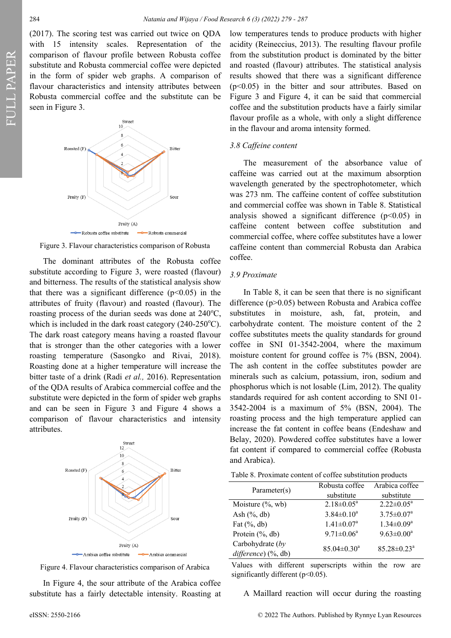(2017). The scoring test was carried out twice on QDA with 15 intensity scales. Representation of the comparison of flavour profile between Robusta coffee substitute and Robusta commercial coffee were depicted in the form of spider web graphs. A comparison of flavour characteristics and intensity attributes between Robusta commercial coffee and the substitute can be seen in Figure 3.



Figure 3. Flavour characteristics comparison of Robusta

The dominant attributes of the Robusta coffee substitute according to Figure 3, were roasted (flavour) and bitterness. The results of the statistical analysis show that there was a significant difference  $(p<0.05)$  in the attributes of fruity (flavour) and roasted (flavour). The roasting process of the durian seeds was done at  $240^{\circ}$ C, which is included in the dark roast category  $(240-250^{\circ}C)$ . The dark roast category means having a roasted flavour that is stronger than the other categories with a lower roasting temperature (Sasongko and Rivai, 2018). Roasting done at a higher temperature will increase the bitter taste of a drink (Radi *et al.,* 2016). Representation of the QDA results of Arabica commercial coffee and the substitute were depicted in the form of spider web graphs and can be seen in Figure 3 and Figure 4 shows a comparison of flavour characteristics and intensity attributes.



Figure 4. Flavour characteristics comparison of Arabica

In Figure 4, the sour attribute of the Arabica coffee substitute has a fairly detectable intensity. Roasting at low temperatures tends to produce products with higher acidity (Reineccius, 2013). The resulting flavour profile from the substitution product is dominated by the bitter and roasted (flavour) attributes. The statistical analysis results showed that there was a significant difference (p<0.05) in the bitter and sour attributes. Based on Figure 3 and Figure 4, it can be said that commercial coffee and the substitution products have a fairly similar flavour profile as a whole, with only a slight difference in the flavour and aroma intensity formed.

#### *3.8 Caffeine content*

The measurement of the absorbance value of caffeine was carried out at the maximum absorption wavelength generated by the spectrophotometer, which was 273 nm. The caffeine content of coffee substitution and commercial coffee was shown in Table 8. Statistical analysis showed a significant difference  $(p<0.05)$  in caffeine content between coffee substitution and commercial coffee, where coffee substitutes have a lower caffeine content than commercial Robusta dan Arabica coffee.

#### *3.9 Proximate*

In Table 8, it can be seen that there is no significant difference (p>0.05) between Robusta and Arabica coffee substitutes in moisture, ash, fat, protein, and carbohydrate content. The moisture content of the 2 coffee substitutes meets the quality standards for ground coffee in SNI 01-3542-2004, where the maximum moisture content for ground coffee is 7% (BSN, 2004). The ash content in the coffee substitutes powder are minerals such as calcium, potassium, iron, sodium and phosphorus which is not losable (Lim, 2012). The quality standards required for ash content according to SNI 01- 3542-2004 is a maximum of 5% (BSN, 2004). The roasting process and the high temperature applied can increase the fat content in coffee beans (Endeshaw and Belay, 2020). Powdered coffee substitutes have a lower fat content if compared to commercial coffee (Robusta and Arabica).

| Parameter(s)                              | Robusta coffee<br>substitute | Arabica coffee<br>substitute  |
|-------------------------------------------|------------------------------|-------------------------------|
| Moisture $(\%$ , wb)                      | $2.18 \pm 0.05^a$            | $2.22 \pm 0.05^a$             |
| Ash $(\%$ , db)                           | $3.84 \pm 0.10^a$            | $3.75 \pm 0.07^{\text{a}}$    |
| Fat $(\%$ , db)                           | $1.41 \pm 0.07^a$            | $1.34 \pm 0.09^a$             |
| Protein (%, db)                           | $9.71 \pm 0.06^a$            | $9.63 \pm 0.00^a$             |
| Carbohydrate (by<br>$difference)$ (%, db) | $85.04 \pm 0.30^a$           | $85.28 \pm 0.23$ <sup>a</sup> |

Values with different superscripts within the row are significantly different (p<0.05).

A Maillard reaction will occur during the roasting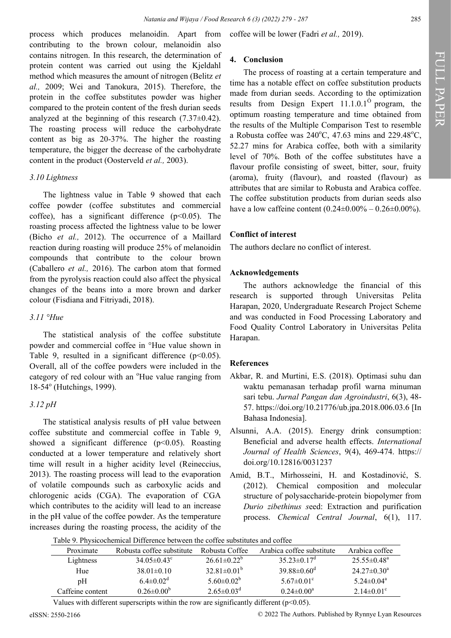process which produces melanoidin. Apart from contributing to the brown colour, melanoidin also contains nitrogen. In this research, the determination of protein content was carried out using the Kjeldahl method which measures the amount of nitrogen (Belitz *et al.,* 2009; Wei and Tanokura, 2015). Therefore, the protein in the coffee substitutes powder was higher compared to the protein content of the fresh durian seeds analyzed at the beginning of this research (7.37±0.42). The roasting process will reduce the carbohydrate content as big as 20-37%. The higher the roasting temperature, the bigger the decrease of the carbohydrate content in the product (Oosterveld *et al.,* 2003).

### *3.10 Lightness*

The lightness value in Table 9 showed that each coffee powder (coffee substitutes and commercial coffee), has a significant difference  $(p<0.05)$ . The roasting process affected the lightness value to be lower (Bicho *et al.,* 2012). The occurrence of a Maillard reaction during roasting will produce 25% of melanoidin compounds that contribute to the colour brown (Caballero *et al.,* 2016). The carbon atom that formed from the pyrolysis reaction could also affect the physical changes of the beans into a more brown and darker colour (Fisdiana and Fitriyadi, 2018).

# *3.11 °Hue*

The statistical analysis of the coffee substitute powder and commercial coffee in °Hue value shown in Table 9, resulted in a significant difference  $(p<0.05)$ . Overall, all of the coffee powders were included in the category of red colour with an <sup>o</sup>Hue value ranging from 18-54° (Hutchings, 1999).

### *3.12 pH*

The statistical analysis results of pH value between coffee substitute and commercial coffee in Table 9, showed a significant difference  $(p<0.05)$ . Roasting conducted at a lower temperature and relatively short time will result in a higher acidity level (Reineccius, 2013). The roasting process will lead to the evaporation of volatile compounds such as carboxylic acids and chlorogenic acids (CGA). The evaporation of CGA which contributes to the acidity will lead to an increase in the pH value of the coffee powder. As the temperature increases during the roasting process, the acidity of the

coffee will be lower (Fadri *et al.,* 2019).

# **4. Conclusion**

The process of roasting at a certain temperature and time has a notable effect on coffee substitution products made from durian seeds. According to the optimization results from Design Expert  $11.1.0.1<sup>°</sup>$  program, the optimum roasting temperature and time obtained from the results of the Multiple Comparison Test to resemble a Robusta coffee was  $240^{\circ}$ C, 47.63 mins and 229.48 $^{\circ}$ C, 52.27 mins for Arabica coffee, both with a similarity level of 70%. Both of the coffee substitutes have a flavour profile consisting of sweet, bitter, sour, fruity (aroma), fruity (flavour), and roasted (flavour) as attributes that are similar to Robusta and Arabica coffee. The coffee substitution products from durian seeds also have a low caffeine content  $(0.24 \pm 0.00\% - 0.26 \pm 0.00\%).$ 

# **Conflict of interest**

The authors declare no conflict of interest.

# **Acknowledgements**

The authors acknowledge the financial of this research is supported through Universitas Pelita Harapan, 2020, Undergraduate Research Project Scheme and was conducted in Food Processing Laboratory and Food Quality Control Laboratory in Universitas Pelita Harapan.

### **References**

- Akbar, R. and Murtini, E.S. (2018). Optimasi suhu dan waktu pemanasan terhadap profil warna minuman sari tebu. *Jurnal Pangan dan Agroindustri*, 6(3), 48- 57. [https://doi.org/10.21776/ub.jpa.2018.006.03.6 \[](https://doi.org/10.21776/ub.jpa.2018.006.03.6)In Bahasa Indonesia].
- Alsunni, A.A. (2015). Energy drink consumption: Beneficial and adverse health effects. *International Journal of Health Sciences*, 9(4), 469-474. https:// [doi.org/10.12816/0031237](https://doi.org/10.12816/0031237)
- Amid, B.T., Mirhosseini, H. and Kostadinović, S. (2012). Chemical composition and molecular structure of polysaccharide-protein biopolymer from *Durio zibethinus s*eed: Extraction and purification process. *Chemical Central Journal*, 6(1), 117.

| Table 9. Physicochemical Difference between the coffee substitutes and coffee |  |  |  |
|-------------------------------------------------------------------------------|--|--|--|
|-------------------------------------------------------------------------------|--|--|--|

| Proximate        | Robusta coffee substitute   | Robusta Coffee               | Arabica coffee substitute     | Arabica coffee               |
|------------------|-----------------------------|------------------------------|-------------------------------|------------------------------|
| Lightness        | $34.05 \pm 0.43^{\circ}$    | $26.61 \pm 0.22^{\circ}$     | $35.23 \pm 0.17$ <sup>d</sup> | $25.55 \pm 0.48^{\circ}$     |
| Hue              | $38.01 \pm 0.10$            | $32.81 \pm 0.01^{\circ}$     | $39.88 \pm 0.60$ <sup>d</sup> | $24.27 \pm 0.30^{\circ}$     |
| pΗ               | $6.4 \pm 0.02$ <sup>d</sup> | 5.60 $\pm$ 0.02 <sup>b</sup> | $5.67 \pm 0.01$ <sup>c</sup>  | $5.24 \pm 0.04$ <sup>a</sup> |
| Caffeine content | $0.26 \pm 0.00^{\circ}$     | $2.65 \pm 0.03$ <sup>d</sup> | $0.24 \pm 0.00^a$             | $2.14 \pm 0.01$ <sup>c</sup> |

Values with different superscripts within the row are significantly different ( $p<0.05$ ).

eISSN: 2550-2166 © 2022 The Authors. Published by Rynnye Lyan Resources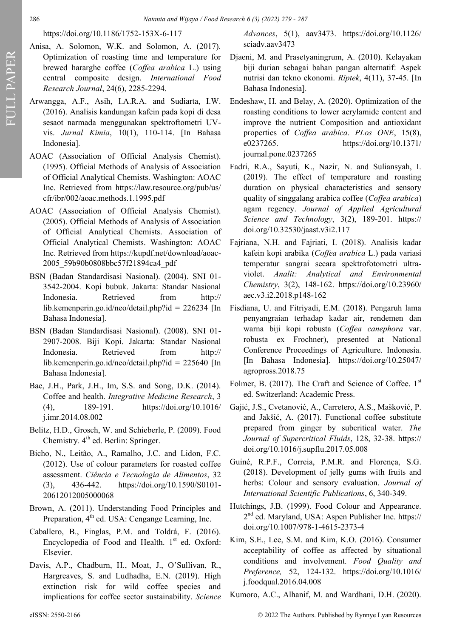# [https://doi.org/10.1186/1752](https://doi.org/10.1186/1752-153X-6-117)-153X-6-117

- Anisa, A. Solomon, W.K. and Solomon, A. (2017). Optimization of roasting time and temperature for brewed hararghe coffee (*Coffea arabica* L.) using central composite design. *International Food Research Journal*, 24(6), 2285-2294.
- Arwangga, A.F., Asih, I.A.R.A. and Sudiarta, I.W. (2016). Analisis kandungan kafein pada kopi di desa sesaot narmada menggunakan spektroftometri UVvis. *Jurnal Kimia*, 10(1), 110-114. [In Bahasa Indonesia].
- AOAC (Association of Official Analysis Chemist). (1995). Official Methods of Analysis of Association of Official Analytical Chemists. Washington: AOAC Inc. Retrieved from [https://law.resource.org/pub/us/](https://law.resource.org/pub/us/cfr/ibr/002/aoac.methods.1.1995.pdf) [cfr/ibr/002/aoac.methods.1.1995.pdf](https://law.resource.org/pub/us/cfr/ibr/002/aoac.methods.1.1995.pdf)
- AOAC (Association of Official Analysis Chemist). (2005). Official Methods of Analysis of Association of Official Analytical Chemists. Association of Official Analytical Chemists. Washington: AOAC Inc. Retrieved from https://kupdf.net/download/aoac-2005\_59b90b0808bbc57f21894ca4\_pdf
- BSN (Badan Standardisasi Nasional). (2004). SNI 01- 3542-2004. Kopi bubuk. Jakarta: Standar Nasional Indonesia. Retrieved from [http://](http://lib.kemenperin.go.id/neo/detail.php?id=226234) [lib.kemenperin.go.id/neo/detail.php?id = 226234 \[](http://lib.kemenperin.go.id/neo/detail.php?id=226234)In Bahasa Indonesia].
- BSN (Badan Standardisasi Nasional). (2008). SNI 01- 2907-2008. Biji Kopi. Jakarta: Standar Nasional Indonesia. Retrieved from [http://](http://lib.kemenperin.go.id/neo/detail.php?id=225640) [lib.kemenperin.go.id/neo/detail.php?id = 225640 \[](http://lib.kemenperin.go.id/neo/detail.php?id=225640)In Bahasa Indonesia].
- Bae, J.H., Park, J.H., Im, S.S. and Song, D.K. (2014). Coffee and health. *Integrative Medicine Research*, 3 (4), 189-191. [https://doi.org/10.1016/](https://doi.org/10.1016/j.imr.2014.08.002) [j.imr.2014.08.002](https://doi.org/10.1016/j.imr.2014.08.002)
- Belitz, H.D., Grosch, W. and Schieberle, P. (2009). Food Chemistry.  $4<sup>th</sup>$  ed. Berlin: Springer.
- Bicho, N., Leitão, A., Ramalho, J.C. and Lidon, F.C. (2012). Use of colour parameters for roasted coffee assessment. *Ciência e Tecnologia de Alimentos*, 32 (3), 436-442. [https://doi.org/10.1590/S0101](https://doi.org/10.1590/S0101-20612012005000068)- [20612012005000068](https://doi.org/10.1590/S0101-20612012005000068)
- Brown, A. (2011). Understanding Food Principles and Preparation,  $4<sup>th</sup>$  ed. USA: Cengange Learning, Inc.
- Caballero, B., Finglas, P.M. and Toldrá, F. (2016). Encyclopedia of Food and Health. 1st ed. Oxford: Elsevier.
- Davis, A.P., Chadburn, H., Moat, J., O'Sullivan, R., Hargreaves, S. and Ludhadha, E.N. (2019). High extinction risk for wild coffee species and implications for coffee sector sustainability. *Science*

*Advances*, 5(1), aav3473. [https://doi.org/10.1126/](https://doi.org/10.1126/sciadv.aav3473) [sciadv.aav3473](https://doi.org/10.1126/sciadv.aav3473)

- Djaeni, M. and Prasetyaningrum, A. (2010). Kelayakan biji durian sebagai bahan pangan alternatif: Aspek nutrisi dan tekno ekonomi. *Riptek*, 4(11), 37-45. [In Bahasa Indonesia].
- Endeshaw, H. and Belay, A. (2020). Optimization of the roasting conditions to lower acrylamide content and improve the nutrient Composition and antioxidant properties of *Coffea arabica*. *PLos ONE*, 15(8), e0237265. [https://doi.org/10.1371/](https://doi.org/10.1371/journal.pone.0237265) [journal.pone.0237265](https://doi.org/10.1371/journal.pone.0237265)
- Fadri, R.A., Sayuti, K., Nazir, N. and Suliansyah, I. (2019). The effect of temperature and roasting duration on physical characteristics and sensory quality of singgalang arabica coffee (*Coffea arabica*) agam regency. *Journal of Applied Agricultural Science and Technology*, 3(2), 189-201. https:// [doi.org/10.32530/jaast.v3i2.117](https://doi.org/10.32530/jaast.v3i2.117)
- Fajriana, N.H. and Fajriati, I. (2018). Analisis kadar kafein kopi arabika (*Coffea arabica* L.) pada variasi temperatur sangrai secara spektrofotometri ultraviolet. *Analit: Analytical and Environmental Chemistry*, 3(2), 148-162. [https://doi.org/10.23960/](https://doi.org/10.23960/aec.v3.i2.2018.p148-162) [aec.v3.i2.2018.p148](https://doi.org/10.23960/aec.v3.i2.2018.p148-162)-162
- Fisdiana, U. and Fitriyadi, E.M. (2018). Pengaruh lama penyangraian terhadap kadar air, rendemen dan warna biji kopi robusta (*Coffea canephora* var. robusta ex Frochner), presented at National Conference Proceedings of Agriculture. Indonesia. [In Bahasa Indonesia]. [https://doi.org/10.25047/](https://doi.org/10.25047/agropross.2018.75) [agropross.2018.75](https://doi.org/10.25047/agropross.2018.75)
- Folmer, B. (2017). The Craft and Science of Coffee.  $1<sup>st</sup>$ ed. Switzerland: Academic Press.
- Gajić, J.S., Cvetanović, A., Carretero, A.S., Mašković, P. and Jakšić, A. (2017). Functional coffee substitute prepared from ginger by subcritical water. *The Journal of Supercritical Fluids*, 128, 32-38. https:// [doi.org/10.1016/j.supflu.2017.05.008](https://doi.org/10.1016/j.supflu.2017.05.008)
- Guiné, R.P.F., Correia, P.M.R. and Florença, S.G. (2018). Development of jelly gums with fruits and herbs: Colour and sensory evaluation. *Journal of International Scientific Publications*, 6, 340-349.
- Hutchings, J.B. (1999). Food Colour and Appearance. 2<sup>nd</sup> ed. Maryland, USA: Aspen Publisher Inc. [https://](https://doi.org/10.1007/978-1-4615-2373-4) [doi.org/10.1007/978](https://doi.org/10.1007/978-1-4615-2373-4)-1-4615-2373-4
- Kim, S.E., Lee, S.M. and Kim, K.O. (2016). Consumer acceptability of coffee as affected by situational conditions and involvement. *Food Quality and Preference,* 52, 124-132. [https://doi.org/10.1016/](https://doi.org/10.1016/j.foodqual.2016.04.008) [j.foodqual.2016.04.008](https://doi.org/10.1016/j.foodqual.2016.04.008)
- Kumoro, A.C., Alhanif, M. and Wardhani, D.H. (2020).